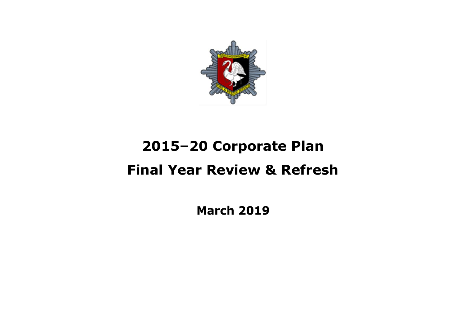

# **2015–20 Corporate Plan Final Year Review & Refresh**

**March 2019**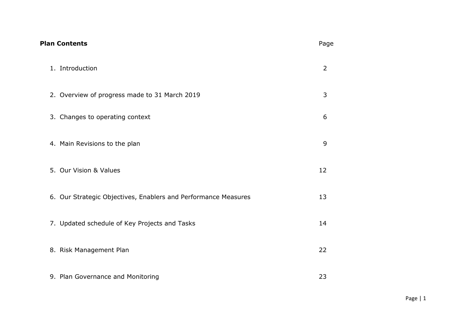| <b>Plan Contents</b>                                           | Page           |
|----------------------------------------------------------------|----------------|
| 1. Introduction                                                | $\overline{2}$ |
| 2. Overview of progress made to 31 March 2019                  | 3              |
| 3. Changes to operating context                                | 6              |
| 4. Main Revisions to the plan                                  | 9              |
| 5. Our Vision & Values                                         | 12             |
| 6. Our Strategic Objectives, Enablers and Performance Measures | 13             |
| 7. Updated schedule of Key Projects and Tasks                  | 14             |
| 8. Risk Management Plan                                        | 22             |
| 9. Plan Governance and Monitoring                              | 23             |

Page | 1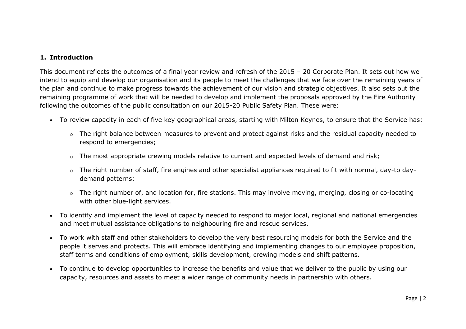## **1. Introduction**

This document reflects the outcomes of a final year review and refresh of the 2015 – 20 Corporate Plan. It sets out how we intend to equip and develop our organisation and its people to meet the challenges that we face over the remaining years of the plan and continue to make progress towards the achievement of our vision and strategic objectives. It also sets out the remaining programme of work that will be needed to develop and implement the proposals approved by the Fire Authority following the outcomes of the public consultation on our 2015-20 Public Safety Plan. These were:

- To review capacity in each of five key geographical areas, starting with Milton Keynes, to ensure that the Service has:
	- o The right balance between measures to prevent and protect against risks and the residual capacity needed to respond to emergencies;
	- $\circ$  The most appropriate crewing models relative to current and expected levels of demand and risk;
	- o The right number of staff, fire engines and other specialist appliances required to fit with normal, day-to daydemand patterns;
	- o The right number of, and location for, fire stations. This may involve moving, merging, closing or co-locating with other blue-light services.
- To identify and implement the level of capacity needed to respond to major local, regional and national emergencies and meet mutual assistance obligations to neighbouring fire and rescue services.
- To work with staff and other stakeholders to develop the very best resourcing models for both the Service and the people it serves and protects. This will embrace identifying and implementing changes to our employee proposition, staff terms and conditions of employment, skills development, crewing models and shift patterns.
- To continue to develop opportunities to increase the benefits and value that we deliver to the public by using our capacity, resources and assets to meet a wider range of community needs in partnership with others.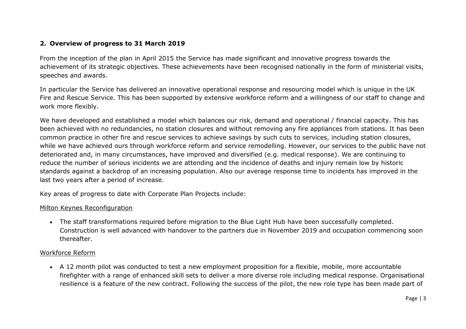# **2. Overview of progress to 31 March 2019**

From the inception of the plan in April 2015 the Service has made significant and innovative progress towards the achievement of its strategic objectives. These achievements have been recognised nationally in the form of ministerial visits, speeches and awards.

In particular the Service has delivered an innovative operational response and resourcing model which is unique in the UK Fire and Rescue Service. This has been supported by extensive workforce reform and a willingness of our staff to change and work more flexibly.

We have developed and established a model which balances our risk, demand and operational / financial capacity. This has been achieved with no redundancies, no station closures and without removing any fire appliances from stations. It has been common practice in other fire and rescue services to achieve savings by such cuts to services, including station closures, while we have achieved ours through workforce reform and service remodelling. However, our services to the public have not deteriorated and, in many circumstances, have improved and diversified (e.g. medical response). We are continuing to reduce the number of serious incidents we are attending and the incidence of deaths and injury remain low by historic standards against a backdrop of an increasing population. Also our average response time to incidents has improved in the last two years after a period of increase.

Key areas of progress to date with Corporate Plan Projects include:

#### Milton Keynes Reconfiguration

 The staff transformations required before migration to the Blue Light Hub have been successfully completed. Construction is well advanced with handover to the partners due in November 2019 and occupation commencing soon thereafter.

#### Workforce Reform

 A 12 month pilot was conducted to test a new employment proposition for a flexible, mobile, more accountable firefighter with a range of enhanced skill sets to deliver a more diverse role including medical response. Organisational resilience is a feature of the new contract. Following the success of the pilot, the new role type has been made part of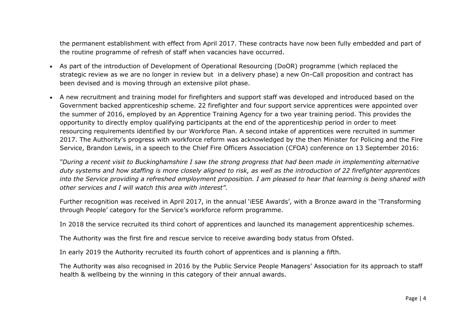the permanent establishment with effect from April 2017. These contracts have now been fully embedded and part of the routine programme of refresh of staff when vacancies have occurred.

- As part of the introduction of Development of Operational Resourcing (DoOR) programme (which replaced the strategic review as we are no longer in review but in a delivery phase) a new On-Call proposition and contract has been devised and is moving through an extensive pilot phase.
- A new recruitment and training model for firefighters and support staff was developed and introduced based on the Government backed apprenticeship scheme. 22 firefighter and four support service apprentices were appointed over the summer of 2016, employed by an Apprentice Training Agency for a two year training period. This provides the opportunity to directly employ qualifying participants at the end of the apprenticeship period in order to meet resourcing requirements identified by our Workforce Plan. A second intake of apprentices were recruited in summer 2017. The Authority's progress with workforce reform was acknowledged by the then Minister for Policing and the Fire Service, Brandon Lewis, in a speech to the Chief Fire Officers Association (CFOA) conference on 13 September 2016:

*"During a recent visit to Buckinghamshire I saw the strong progress that had been made in implementing alternative duty systems and how staffing is more closely aligned to risk, as well as the introduction of 22 firefighter apprentices into the Service providing a refreshed employment proposition. I am pleased to hear that learning is being shared with other services and I will watch this area with interest".*

Further recognition was received in April 2017, in the annual 'iESE Awards', with a Bronze award in the 'Transforming through People' category for the Service's workforce reform programme.

In 2018 the service recruited its third cohort of apprentices and launched its management apprenticeship schemes.

The Authority was the first fire and rescue service to receive awarding body status from Ofsted.

In early 2019 the Authority recruited its fourth cohort of apprentices and is planning a fifth.

The Authority was also recognised in 2016 by the Public Service People Managers' Association for its approach to staff health & wellbeing by the winning in this category of their annual awards.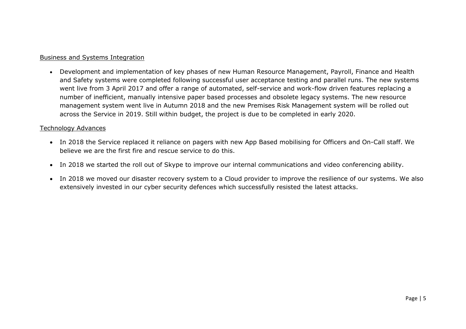## Business and Systems Integration

 Development and implementation of key phases of new Human Resource Management, Payroll, Finance and Health and Safety systems were completed following successful user acceptance testing and parallel runs. The new systems went live from 3 April 2017 and offer a range of automated, self-service and work-flow driven features replacing a number of inefficient, manually intensive paper based processes and obsolete legacy systems. The new resource management system went live in Autumn 2018 and the new Premises Risk Management system will be rolled out across the Service in 2019. Still within budget, the project is due to be completed in early 2020.

#### Technology Advances

- In 2018 the Service replaced it reliance on pagers with new App Based mobilising for Officers and On-Call staff. We believe we are the first fire and rescue service to do this.
- In 2018 we started the roll out of Skype to improve our internal communications and video conferencing ability.
- In 2018 we moved our disaster recovery system to a Cloud provider to improve the resilience of our systems. We also extensively invested in our cyber security defences which successfully resisted the latest attacks.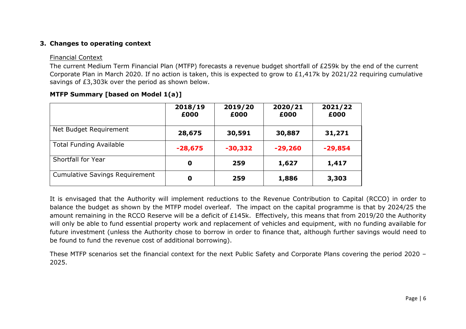# **3. Changes to operating context**

#### Financial Context

The current Medium Term Financial Plan (MTFP) forecasts a revenue budget shortfall of £259k by the end of the current Corporate Plan in March 2020. If no action is taken, this is expected to grow to £1,417k by 2021/22 requiring cumulative savings of £3,303k over the period as shown below.

|                                       | 2018/19<br>£000 | 2019/20<br>£000 | 2020/21<br>£000 | 2021/22<br>£000 |
|---------------------------------------|-----------------|-----------------|-----------------|-----------------|
| Net Budget Requirement                | 28,675          | 30,591          | 30,887          | 31,271          |
| <b>Total Funding Available</b>        | $-28,675$       | $-30,332$       | $-29,260$       | $-29,854$       |
| Shortfall for Year                    | $\mathbf 0$     | 259             | 1,627           | 1,417           |
| <b>Cumulative Savings Requirement</b> | 0               | 259             | 1,886           | 3,303           |

# **MTFP Summary [based on Model 1(a)]**

It is envisaged that the Authority will implement reductions to the Revenue Contribution to Capital (RCCO) in order to balance the budget as shown by the MTFP model overleaf. The impact on the capital programme is that by 2024/25 the amount remaining in the RCCO Reserve will be a deficit of £145k. Effectively, this means that from 2019/20 the Authority will only be able to fund essential property work and replacement of vehicles and equipment, with no funding available for future investment (unless the Authority chose to borrow in order to finance that, although further savings would need to be found to fund the revenue cost of additional borrowing).

These MTFP scenarios set the financial context for the next Public Safety and Corporate Plans covering the period 2020 – 2025.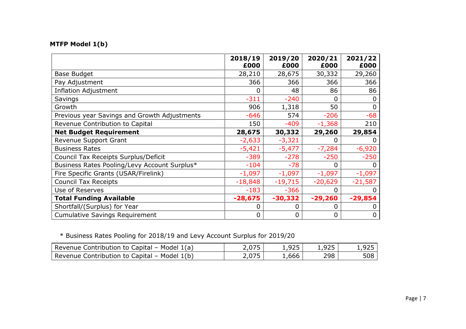# **MTFP Model 1(b)**

|                                              | 2018/19<br>£000 | 2019/20<br>£000 | 2020/21<br>£000 | 2021/22<br>£000 |
|----------------------------------------------|-----------------|-----------------|-----------------|-----------------|
| <b>Base Budget</b>                           | 28,210          | 28,675          | 30,332          | 29,260          |
| Pay Adjustment                               | 366             | 366             | 366             | 366             |
| <b>Inflation Adjustment</b>                  | 0               | 48              | 86              | 86              |
| Savings                                      | $-311$          | $-240$          | ი               |                 |
| Growth                                       | 906             | 1,318           | 50              | 0               |
| Previous year Savings and Growth Adjustments | $-646$          | 574             | $-206$          | $-68$           |
| Revenue Contribution to Capital              | 150             | $-409$          | $-1,368$        | 210             |
| <b>Net Budget Requirement</b>                | 28,675          | 30,332          | 29,260          | 29,854          |
| Revenue Support Grant                        | $-2,633$        | $-3,321$        |                 |                 |
| <b>Business Rates</b>                        | $-5,421$        | $-5,477$        | $-7,284$        | $-6,920$        |
| Council Tax Receipts Surplus/Deficit         | $-389$          | $-278$          | $-250$          | $-250$          |
| Business Rates Pooling/Levy Account Surplus* | $-104$          | $-78$           | 0               |                 |
| Fire Specific Grants (USAR/Firelink)         | $-1,097$        | $-1,097$        | $-1,097$        | $-1,097$        |
| <b>Council Tax Receipts</b>                  | $-18,848$       | $-19,715$       | $-20,629$       | $-21,587$       |
| Use of Reserves                              | $-183$          | $-366$          | 0               |                 |
| <b>Total Funding Available</b>               | $-28,675$       | $-30,332$       | $-29,260$       | $-29,854$       |
| Shortfall/(Surplus) for Year                 |                 |                 | 0               |                 |
| <b>Cumulative Savings Requirement</b>        | 0               | $\mathbf 0$     | 0               | 0               |

\* Business Rates Pooling for 2018/19 and Levy Account Surplus for 2019/20

| Revenue Contribution to Capital - Model 1(a) | 1,925    | 1,925 | 925, |
|----------------------------------------------|----------|-------|------|
| Revenue Contribution to Capital – Model 1(b) | - 666, - | 298   | 508  |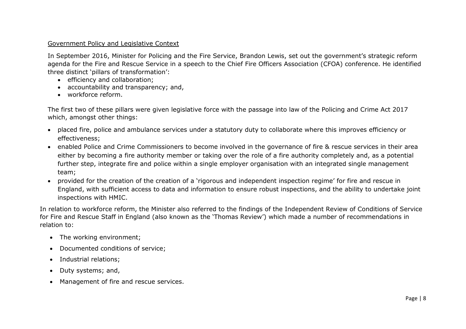#### Government Policy and Legislative Context

In September 2016, Minister for Policing and the Fire Service, Brandon Lewis, set out the government's strategic reform agenda for the Fire and Rescue Service in a speech to the Chief Fire Officers Association (CFOA) conference. He identified three distinct 'pillars of transformation':

- efficiency and collaboration;
- accountability and transparency; and,
- workforce reform.

The first two of these pillars were given legislative force with the passage into law of the Policing and Crime Act 2017 which, amongst other things:

- placed fire, police and ambulance services under a statutory duty to collaborate where this improves efficiency or effectiveness;
- enabled Police and Crime Commissioners to become involved in the governance of fire & rescue services in their area either by becoming a fire authority member or taking over the role of a fire authority completely and, as a potential further step, integrate fire and police within a single employer organisation with an integrated single management team;
- provided for the creation of the creation of a 'rigorous and independent inspection regime' for fire and rescue in England, with sufficient access to data and information to ensure robust inspections, and the ability to undertake joint inspections with HMIC.

In relation to workforce reform, the Minister also referred to the findings of the Independent Review of Conditions of Service for Fire and Rescue Staff in England (also known as the 'Thomas Review') which made a number of recommendations in relation to:

- The working environment;
- Documented conditions of service;
- Industrial relations;
- Duty systems; and,
- Management of fire and rescue services.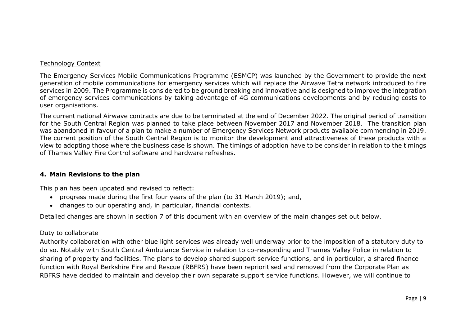#### Technology Context

The Emergency Services Mobile Communications Programme (ESMCP) was launched by the Government to provide the next generation of mobile communications for emergency services which will replace the Airwave Tetra network introduced to fire services in 2009. The Programme is considered to be ground breaking and innovative and is designed to improve the integration of emergency services communications by taking advantage of 4G communications developments and by reducing costs to user organisations.

The current national Airwave contracts are due to be terminated at the end of December 2022. The original period of transition for the South Central Region was planned to take place between November 2017 and November 2018. The transition plan was abandoned in favour of a plan to make a number of Emergency Services Network products available commencing in 2019. The current position of the South Central Region is to monitor the development and attractiveness of these products with a view to adopting those where the business case is shown. The timings of adoption have to be consider in relation to the timings of Thames Valley Fire Control software and hardware refreshes.

#### **4. Main Revisions to the plan**

This plan has been updated and revised to reflect:

- progress made during the first four years of the plan (to 31 March 2019); and,
- changes to our operating and, in particular, financial contexts.

Detailed changes are shown in section 7 of this document with an overview of the main changes set out below.

# Duty to collaborate

Authority collaboration with other blue light services was already well underway prior to the imposition of a statutory duty to do so. Notably with South Central Ambulance Service in relation to co-responding and Thames Valley Police in relation to sharing of property and facilities. The plans to develop shared support service functions, and in particular, a shared finance function with Royal Berkshire Fire and Rescue (RBFRS) have been reprioritised and removed from the Corporate Plan as RBFRS have decided to maintain and develop their own separate support service functions. However, we will continue to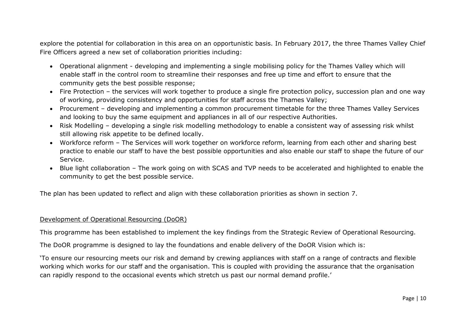explore the potential for collaboration in this area on an opportunistic basis. In February 2017, the three Thames Valley Chief Fire Officers agreed a new set of collaboration priorities including:

- Operational alignment developing and implementing a single mobilising policy for the Thames Valley which will enable staff in the control room to streamline their responses and free up time and effort to ensure that the community gets the best possible response;
- Fire Protection the services will work together to produce a single fire protection policy, succession plan and one way of working, providing consistency and opportunities for staff across the Thames Valley;
- Procurement developing and implementing a common procurement timetable for the three Thames Valley Services and looking to buy the same equipment and appliances in all of our respective Authorities.
- Risk Modelling developing a single risk modelling methodology to enable a consistent way of assessing risk whilst still allowing risk appetite to be defined locally.
- Workforce reform The Services will work together on workforce reform, learning from each other and sharing best practice to enable our staff to have the best possible opportunities and also enable our staff to shape the future of our Service.
- Blue light collaboration The work going on with SCAS and TVP needs to be accelerated and highlighted to enable the community to get the best possible service.

The plan has been updated to reflect and align with these collaboration priorities as shown in section 7.

#### Development of Operational Resourcing (DoOR)

This programme has been established to implement the key findings from the Strategic Review of Operational Resourcing.

The DoOR programme is designed to lay the foundations and enable delivery of the DoOR Vision which is:

'To ensure our resourcing meets our risk and demand by crewing appliances with staff on a range of contracts and flexible working which works for our staff and the organisation. This is coupled with providing the assurance that the organisation can rapidly respond to the occasional events which stretch us past our normal demand profile.'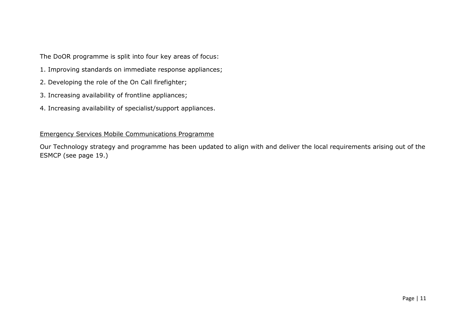The DoOR programme is split into four key areas of focus:

- 1. Improving standards on immediate response appliances;
- 2. Developing the role of the On Call firefighter;
- 3. Increasing availability of frontline appliances;
- 4. Increasing availability of specialist/support appliances.

## Emergency Services Mobile Communications Programme

Our Technology strategy and programme has been updated to align with and deliver the local requirements arising out of the ESMCP (see page 19.)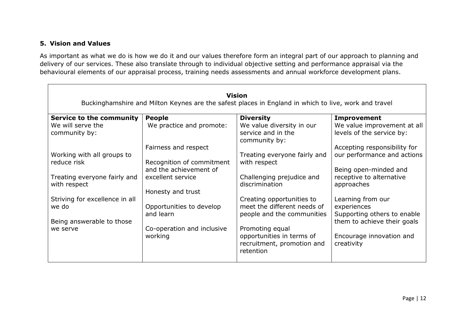# **5. Vision and Values**

As important as what we do is how we do it and our values therefore form an integral part of our approach to planning and delivery of our services. These also translate through to individual objective setting and performance appraisal via the behavioural elements of our appraisal process, training needs assessments and annual workforce development plans.

|                                              |                                                     | <b>Vision</b><br>Buckinghamshire and Milton Keynes are the safest places in England in which to live, work and travel |                                                          |
|----------------------------------------------|-----------------------------------------------------|-----------------------------------------------------------------------------------------------------------------------|----------------------------------------------------------|
| <b>Service to the community</b>              | <b>People</b>                                       | <b>Diversity</b>                                                                                                      | <b>Improvement</b>                                       |
| We will serve the<br>community by:           | We practice and promote:                            | We value diversity in our<br>service and in the<br>community by:                                                      | We value improvement at all<br>levels of the service by: |
|                                              | Fairness and respect                                |                                                                                                                       | Accepting responsibility for                             |
| Working with all groups to                   |                                                     | Treating everyone fairly and                                                                                          | our performance and actions                              |
| reduce risk                                  | Recognition of commitment<br>and the achievement of | with respect                                                                                                          | Being open-minded and                                    |
| Treating everyone fairly and<br>with respect | excellent service                                   | Challenging prejudice and<br>discrimination                                                                           | receptive to alternative<br>approaches                   |
|                                              | Honesty and trust                                   |                                                                                                                       |                                                          |
| Striving for excellence in all<br>we do      | Opportunities to develop                            | Creating opportunities to<br>meet the different needs of                                                              | Learning from our<br>experiences                         |
|                                              | and learn                                           | people and the communities                                                                                            | Supporting others to enable                              |
| Being answerable to those                    |                                                     |                                                                                                                       | them to achieve their goals                              |
| we serve                                     | Co-operation and inclusive                          | Promoting equal                                                                                                       |                                                          |
|                                              | working                                             | opportunities in terms of<br>recruitment, promotion and<br>retention                                                  | Encourage innovation and<br>creativity                   |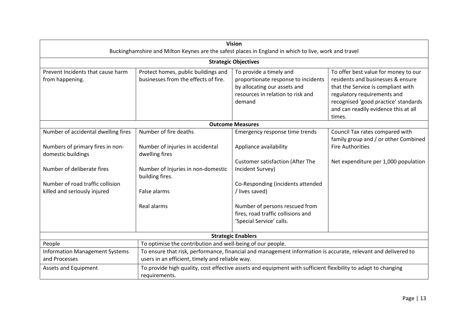| <b>Vision</b><br>Buckinghamshire and Milton Keynes are the safest places in England in which to live, work and travel |                                                                             |                                                                                                                                                                                                                                          |                                                                         |  |  |  |  |  |  |  |
|-----------------------------------------------------------------------------------------------------------------------|-----------------------------------------------------------------------------|------------------------------------------------------------------------------------------------------------------------------------------------------------------------------------------------------------------------------------------|-------------------------------------------------------------------------|--|--|--|--|--|--|--|
|                                                                                                                       | <b>Strategic Objectives</b>                                                 |                                                                                                                                                                                                                                          |                                                                         |  |  |  |  |  |  |  |
| Prevent Incidents that cause harm<br>from happening.                                                                  | Protect homes, public buildings and<br>businesses from the effects of fire. | To offer best value for money to our<br>residents and businesses & ensure<br>that the Service is compliant with<br>regulatory requirements and<br>recognised 'good practice' standards<br>and can readily evidence this at all<br>times. |                                                                         |  |  |  |  |  |  |  |
| <b>Outcome Measures</b>                                                                                               |                                                                             |                                                                                                                                                                                                                                          |                                                                         |  |  |  |  |  |  |  |
| Number of accidental dwelling fires                                                                                   | Number of fire deaths                                                       | Emergency response time trends                                                                                                                                                                                                           | Council Tax rates compared with<br>family group and / or other Combined |  |  |  |  |  |  |  |
| Numbers of primary fires in non-<br>domestic buildings                                                                | Number of injuries in accidental<br>dwelling fires                          | Appliance availability                                                                                                                                                                                                                   | <b>Fire Authorities</b>                                                 |  |  |  |  |  |  |  |
| Number of deliberate fires                                                                                            | Number of Injuries in non-domestic<br>building fires.                       | <b>Customer satisfaction (After The</b><br>Incident Survey)                                                                                                                                                                              | Net expenditure per 1,000 population                                    |  |  |  |  |  |  |  |
| Number of road traffic collision<br>killed and seriously injured                                                      | False alarms                                                                | Co-Responding (incidents attended<br>/ lives saved)                                                                                                                                                                                      |                                                                         |  |  |  |  |  |  |  |
|                                                                                                                       | Real alarms                                                                 | Number of persons rescued from<br>fires, road traffic collisions and<br>'Special Service' calls.                                                                                                                                         |                                                                         |  |  |  |  |  |  |  |
|                                                                                                                       |                                                                             | <b>Strategic Enablers</b>                                                                                                                                                                                                                |                                                                         |  |  |  |  |  |  |  |
| People                                                                                                                | To optimise the contribution and well-being of our people.                  |                                                                                                                                                                                                                                          |                                                                         |  |  |  |  |  |  |  |
| <b>Information Management Systems</b><br>and Processes                                                                | users in an efficient, timely and reliable way.                             | To ensure that risk, performance, financial and management information is accurate, relevant and delivered to                                                                                                                            |                                                                         |  |  |  |  |  |  |  |
| Assets and Equipment                                                                                                  | requirements.                                                               | To provide high quality, cost effective assets and equipment with sufficient flexibility to adapt to changing                                                                                                                            |                                                                         |  |  |  |  |  |  |  |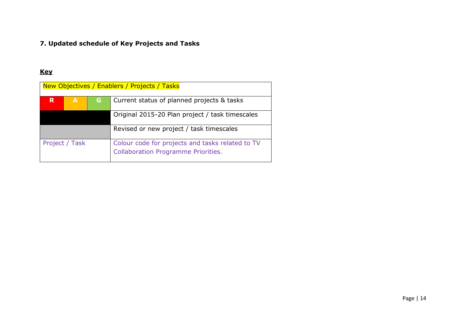# **7. Updated schedule of Key Projects and Tasks**

# **Key**

| New Objectives / Enablers / Projects / Tasks |                |    |                                                                                                |  |  |  |  |  |  |
|----------------------------------------------|----------------|----|------------------------------------------------------------------------------------------------|--|--|--|--|--|--|
| R                                            | A              | G. | Current status of planned projects & tasks                                                     |  |  |  |  |  |  |
|                                              |                |    | Original 2015-20 Plan project / task timescales                                                |  |  |  |  |  |  |
|                                              |                |    | Revised or new project / task timescales                                                       |  |  |  |  |  |  |
|                                              | Project / Task |    | Colour code for projects and tasks related to TV<br><b>Collaboration Programme Priorities.</b> |  |  |  |  |  |  |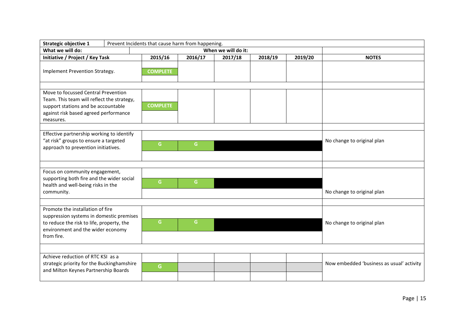| Strategic objective 1                                                                                                                                                          |                 |                     |         |         |         |                                           |
|--------------------------------------------------------------------------------------------------------------------------------------------------------------------------------|-----------------|---------------------|---------|---------|---------|-------------------------------------------|
| What we will do:                                                                                                                                                               |                 | When we will do it: |         |         |         |                                           |
| Initiative / Project / Key Task                                                                                                                                                | 2015/16         | 2016/17             | 2017/18 | 2018/19 | 2019/20 | <b>NOTES</b>                              |
| Implement Prevention Strategy.                                                                                                                                                 | <b>COMPLETE</b> |                     |         |         |         |                                           |
| Move to focussed Central Prevention<br>Team. This team will reflect the strategy,<br>support stations and be accountable<br>against risk based agreed performance<br>measures. | <b>COMPLETE</b> |                     |         |         |         |                                           |
| Effective partnership working to identify<br>"at risk" groups to ensure a targeted<br>approach to prevention initiatives.                                                      | G               | G                   |         |         |         | No change to original plan                |
| Focus on community engagement,<br>supporting both fire and the wider social<br>health and well-being risks in the<br>community.                                                | G               | $\mathsf{G}$        |         |         |         | No change to original plan                |
| Promote the installation of fire<br>suppression systems in domestic premises<br>to reduce the risk to life, property, the<br>environment and the wider economy<br>from fire.   | G               | $\mathsf{G}$        |         |         |         | No change to original plan                |
|                                                                                                                                                                                |                 |                     |         |         |         |                                           |
| Achieve reduction of RTC KSI as a<br>strategic priority for the Buckinghamshire<br>and Milton Keynes Partnership Boards                                                        | G               |                     |         |         |         | Now embedded 'business as usual' activity |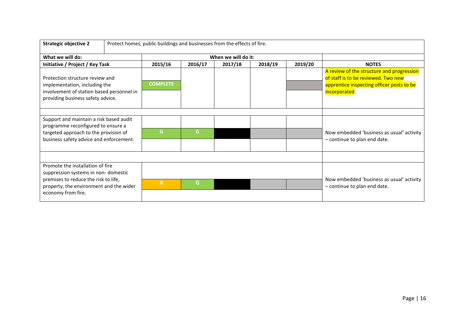| <b>Strategic objective 2</b>                                                                                                                       |  | Protect homes, public buildings and businesses from the effects of fire. |         |                     |         |         |                                                                                                                                                |
|----------------------------------------------------------------------------------------------------------------------------------------------------|--|--------------------------------------------------------------------------|---------|---------------------|---------|---------|------------------------------------------------------------------------------------------------------------------------------------------------|
| What we will do:                                                                                                                                   |  |                                                                          |         | When we will do it: |         |         |                                                                                                                                                |
| Initiative / Project / Key Task                                                                                                                    |  | 2015/16                                                                  | 2016/17 | 2017/18             | 2018/19 | 2019/20 | <b>NOTES</b>                                                                                                                                   |
| Protection structure review and<br>implementation, including the<br>involvement of station based personnel in<br>providing business safety advice. |  | <b>COMPLETE</b>                                                          |         |                     |         |         | A review of the structure and progression<br>of staff is to be reviewed. Two new<br>apprentice inspecting officer posts to be<br>incorporated. |
|                                                                                                                                                    |  |                                                                          |         |                     |         |         |                                                                                                                                                |
| Support and maintain a risk based audit<br>programme reconfigured to ensure a                                                                      |  |                                                                          |         |                     |         |         |                                                                                                                                                |
| targeted approach to the provision of<br>business safety advice and enforcement.                                                                   |  | G.                                                                       | G       |                     |         |         | Now embedded 'business as usual' activity<br>- continue to plan end date.                                                                      |
|                                                                                                                                                    |  |                                                                          |         |                     |         |         |                                                                                                                                                |
| Promote the installation of fire<br>suppression systems in non-domestic                                                                            |  |                                                                          |         |                     |         |         |                                                                                                                                                |
| premises to reduce the risk to life,<br>property, the environment and the wider<br>economy from fire.                                              |  | A                                                                        | G       |                     |         |         | Now embedded 'business as usual' activity<br>- continue to plan end date.                                                                      |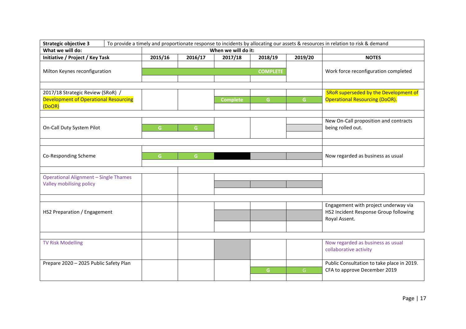| <b>Strategic objective 3</b>                                                         | To provide a timely and proportionate response to incidents by allocating our assets & resources in relation to risk & demand |              |                     |                 |         |                                                                                                |  |  |
|--------------------------------------------------------------------------------------|-------------------------------------------------------------------------------------------------------------------------------|--------------|---------------------|-----------------|---------|------------------------------------------------------------------------------------------------|--|--|
| What we will do:                                                                     |                                                                                                                               |              | When we will do it: |                 |         |                                                                                                |  |  |
| Initiative / Project / Key Task                                                      | 2015/16                                                                                                                       | 2016/17      | 2017/18             | 2018/19         | 2019/20 | <b>NOTES</b>                                                                                   |  |  |
| Milton Keynes reconfiguration                                                        |                                                                                                                               |              |                     | <b>COMPLETE</b> |         | Work force reconfiguration completed                                                           |  |  |
| 2017/18 Strategic Review (SRoR) /<br>Development of Operational Resourcing<br>(DoOR) |                                                                                                                               |              | <b>Complete</b>     | G.              | G.      | SRoR superseded by the Development of<br><b>Operational Resourcing (DoOR).</b>                 |  |  |
| On-Call Duty System Pilot                                                            | $\mathsf{G}$                                                                                                                  | $\mathsf{G}$ |                     |                 |         | New On-Call proposition and contracts<br>being rolled out.                                     |  |  |
| Co-Responding Scheme                                                                 | G                                                                                                                             | $\mathsf{G}$ |                     |                 |         | Now regarded as business as usual                                                              |  |  |
| <b>Operational Alignment - Single Thames</b><br>Valley mobilising policy             |                                                                                                                               |              |                     |                 |         |                                                                                                |  |  |
| HS2 Preparation / Engagement                                                         |                                                                                                                               |              |                     |                 |         | Engagement with project underway via<br>HS2 Incident Response Group following<br>Royal Assent. |  |  |
|                                                                                      |                                                                                                                               |              |                     |                 |         |                                                                                                |  |  |
| <b>TV Risk Modelling</b>                                                             |                                                                                                                               |              |                     |                 |         | Now regarded as business as usual<br>collaborative activity                                    |  |  |
| Prepare 2020 - 2025 Public Safety Plan                                               |                                                                                                                               |              |                     | G.              | G.      | Public Consultation to take place in 2019.<br>CFA to approve December 2019                     |  |  |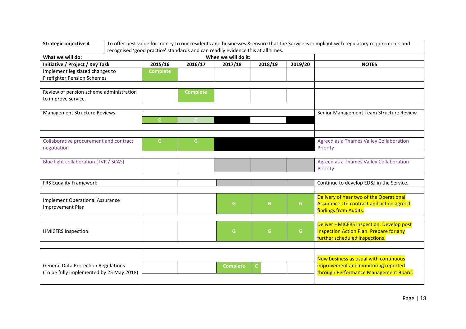| <b>Strategic objective 4</b>                        |  |                 |                 |                                                                                                         | To offer best value for money to our residents and businesses & ensure that the Service is compliant with regulatory requirements and |              |                                                |
|-----------------------------------------------------|--|-----------------|-----------------|---------------------------------------------------------------------------------------------------------|---------------------------------------------------------------------------------------------------------------------------------------|--------------|------------------------------------------------|
|                                                     |  |                 |                 | recognised 'good practice' standards and can readily evidence this at all times.<br>When we will do it: |                                                                                                                                       |              |                                                |
| What we will do:<br>Initiative / Project / Key Task |  | 2015/16         | 2016/17         | 2017/18                                                                                                 | <b>NOTES</b>                                                                                                                          |              |                                                |
|                                                     |  |                 |                 |                                                                                                         | 2018/19                                                                                                                               | 2019/20      |                                                |
| Implement legislated changes to                     |  | <b>Complete</b> |                 |                                                                                                         |                                                                                                                                       |              |                                                |
| <b>Firefighter Pension Schemes</b>                  |  |                 |                 |                                                                                                         |                                                                                                                                       |              |                                                |
|                                                     |  |                 |                 |                                                                                                         |                                                                                                                                       |              |                                                |
| Review of pension scheme administration             |  |                 | <b>Complete</b> |                                                                                                         |                                                                                                                                       |              |                                                |
| to improve service.                                 |  |                 |                 |                                                                                                         |                                                                                                                                       |              |                                                |
|                                                     |  |                 |                 |                                                                                                         |                                                                                                                                       |              |                                                |
| Management Structure Reviews                        |  |                 |                 |                                                                                                         |                                                                                                                                       |              | Senior Management Team Structure Review        |
|                                                     |  | G               | G               |                                                                                                         |                                                                                                                                       |              |                                                |
|                                                     |  |                 |                 |                                                                                                         |                                                                                                                                       |              |                                                |
| Collaborative procurement and contract              |  | G               | G.              |                                                                                                         |                                                                                                                                       |              | Agreed as a Thames Valley Collaboration        |
|                                                     |  |                 |                 |                                                                                                         |                                                                                                                                       |              | Priority                                       |
| negotiation                                         |  |                 |                 |                                                                                                         |                                                                                                                                       |              |                                                |
| Blue light collaboration (TVP / SCAS)               |  |                 |                 |                                                                                                         |                                                                                                                                       |              | <b>Agreed as a Thames Valley Collaboration</b> |
|                                                     |  |                 |                 |                                                                                                         |                                                                                                                                       |              | Priority                                       |
|                                                     |  |                 |                 |                                                                                                         |                                                                                                                                       |              |                                                |
| FRS Equality Framework                              |  |                 |                 |                                                                                                         |                                                                                                                                       |              | Continue to develop ED&I in the Service.       |
|                                                     |  |                 |                 |                                                                                                         |                                                                                                                                       |              |                                                |
|                                                     |  |                 |                 |                                                                                                         |                                                                                                                                       |              | Delivery of Year two of the Operational        |
| <b>Implement Operational Assurance</b>              |  |                 |                 | G                                                                                                       | G                                                                                                                                     | $\mathsf{G}$ | Assurance Ltd contract and act on agreed       |
| Improvement Plan                                    |  |                 |                 |                                                                                                         |                                                                                                                                       |              | findings from Audits.                          |
|                                                     |  |                 |                 |                                                                                                         |                                                                                                                                       |              |                                                |
|                                                     |  |                 |                 |                                                                                                         |                                                                                                                                       |              | Deliver HMICFRS inspection. Develop post       |
| <b>HMICFRS Inspection</b>                           |  |                 |                 | G                                                                                                       | G                                                                                                                                     | $\mathsf{G}$ | <b>Inspection Action Plan. Prepare for any</b> |
|                                                     |  |                 |                 |                                                                                                         |                                                                                                                                       |              | further scheduled inspections.                 |
|                                                     |  |                 |                 |                                                                                                         |                                                                                                                                       |              |                                                |
|                                                     |  |                 |                 |                                                                                                         |                                                                                                                                       |              |                                                |
|                                                     |  |                 |                 |                                                                                                         |                                                                                                                                       |              | Now business as usual with continuous          |
| <b>General Data Protection Regulations</b>          |  |                 |                 | <b>Complete</b>                                                                                         | C.                                                                                                                                    |              | improvement and monitoring reported            |
| (To be fully implemented by 25 May 2018)            |  |                 |                 |                                                                                                         |                                                                                                                                       |              | through Performance Management Board.          |
|                                                     |  |                 |                 |                                                                                                         |                                                                                                                                       |              |                                                |
|                                                     |  |                 |                 |                                                                                                         |                                                                                                                                       |              |                                                |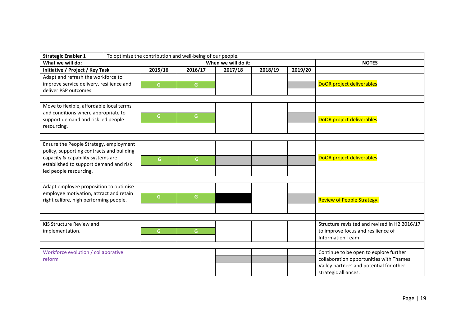| <b>Strategic Enabler 1</b>                |  | To optimise the contribution and well-being of our people. |                     |              |         |         |                                               |  |  |
|-------------------------------------------|--|------------------------------------------------------------|---------------------|--------------|---------|---------|-----------------------------------------------|--|--|
| What we will do:                          |  |                                                            | When we will do it: | <b>NOTES</b> |         |         |                                               |  |  |
| Initiative / Project / Key Task           |  | 2015/16                                                    | 2016/17             | 2017/18      | 2018/19 | 2019/20 |                                               |  |  |
| Adapt and refresh the workforce to        |  |                                                            |                     |              |         |         |                                               |  |  |
| improve service delivery, resilience and  |  | G.                                                         | G                   |              |         |         | DoOR project deliverables                     |  |  |
| deliver PSP outcomes.                     |  |                                                            |                     |              |         |         |                                               |  |  |
|                                           |  |                                                            |                     |              |         |         |                                               |  |  |
| Move to flexible, affordable local terms  |  |                                                            |                     |              |         |         |                                               |  |  |
| and conditions where appropriate to       |  | G.                                                         | G                   |              |         |         |                                               |  |  |
| support demand and risk led people        |  |                                                            |                     |              |         |         | DoOR project deliverables                     |  |  |
| resourcing.                               |  |                                                            |                     |              |         |         |                                               |  |  |
|                                           |  |                                                            |                     |              |         |         |                                               |  |  |
| Ensure the People Strategy, employment    |  |                                                            |                     |              |         |         |                                               |  |  |
| policy, supporting contracts and building |  |                                                            |                     |              |         |         |                                               |  |  |
| capacity & capability systems are         |  | G.                                                         | $\mathsf{G}$        |              |         |         | DoOR project deliverables.                    |  |  |
| established to support demand and risk    |  |                                                            |                     |              |         |         |                                               |  |  |
| led people resourcing.                    |  |                                                            |                     |              |         |         |                                               |  |  |
|                                           |  |                                                            |                     |              |         |         |                                               |  |  |
| Adapt employee proposition to optimise    |  |                                                            |                     |              |         |         |                                               |  |  |
| employee motivation, attract and retain   |  | G.                                                         | G                   |              |         |         |                                               |  |  |
| right calibre, high performing people.    |  |                                                            |                     |              |         |         | <b>Review of People Strategy.</b>             |  |  |
|                                           |  |                                                            |                     |              |         |         |                                               |  |  |
|                                           |  |                                                            |                     |              |         |         |                                               |  |  |
| KIS Structure Review and                  |  |                                                            |                     |              |         |         | Structure revisited and revised in H2 2016/17 |  |  |
| implementation.                           |  | G.                                                         | G                   |              |         |         | to improve focus and resilience of            |  |  |
|                                           |  |                                                            |                     |              |         |         | <b>Information Team</b>                       |  |  |
|                                           |  |                                                            |                     |              |         |         |                                               |  |  |
| Workforce evolution / collaborative       |  |                                                            |                     |              |         |         | Continue to be open to explore further        |  |  |
| reform                                    |  |                                                            |                     |              |         |         | collaboration opportunities with Thames       |  |  |
|                                           |  |                                                            |                     |              |         |         | Valley partners and potential for other       |  |  |
|                                           |  |                                                            |                     |              |         |         | strategic alliances.                          |  |  |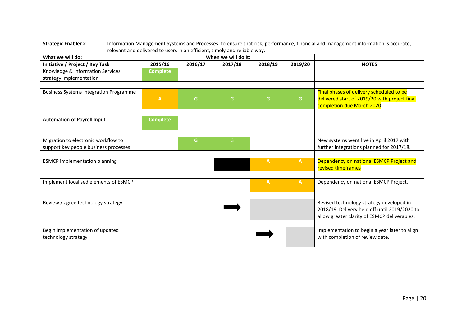| <b>Strategic Enabler 2</b>                                                   | Information Management Systems and Processes: to ensure that risk, performance, financial and management information is accurate, |                                                                           |         |                     |              |              |                                                                                                                                           |
|------------------------------------------------------------------------------|-----------------------------------------------------------------------------------------------------------------------------------|---------------------------------------------------------------------------|---------|---------------------|--------------|--------------|-------------------------------------------------------------------------------------------------------------------------------------------|
|                                                                              |                                                                                                                                   | relevant and delivered to users in an efficient, timely and reliable way. |         |                     |              |              |                                                                                                                                           |
| What we will do:                                                             |                                                                                                                                   |                                                                           |         | When we will do it: |              |              |                                                                                                                                           |
| Initiative / Project / Key Task                                              |                                                                                                                                   | 2015/16                                                                   | 2016/17 | 2017/18             | 2018/19      | 2019/20      | <b>NOTES</b>                                                                                                                              |
| Knowledge & Information Services                                             |                                                                                                                                   | <b>Complete</b>                                                           |         |                     |              |              |                                                                                                                                           |
| strategy implementation                                                      |                                                                                                                                   |                                                                           |         |                     |              |              |                                                                                                                                           |
|                                                                              |                                                                                                                                   |                                                                           |         |                     |              |              |                                                                                                                                           |
| <b>Business Systems Integration Programme</b>                                |                                                                                                                                   | $\mathbf{A}$                                                              | G       | G                   | G            | G            | Final phases of delivery scheduled to be<br>delivered start of 2019/20 with project final<br>completion due March 2020                    |
| Automation of Payroll Input                                                  |                                                                                                                                   | <b>Complete</b>                                                           |         |                     |              |              |                                                                                                                                           |
|                                                                              |                                                                                                                                   |                                                                           |         |                     |              |              |                                                                                                                                           |
| Migration to electronic workflow to<br>support key people business processes |                                                                                                                                   |                                                                           | G.      | G                   |              |              | New systems went live in April 2017 with<br>further integrations planned for 2017/18.                                                     |
|                                                                              |                                                                                                                                   |                                                                           |         |                     |              |              |                                                                                                                                           |
| <b>ESMCP</b> implementation planning                                         |                                                                                                                                   |                                                                           |         |                     | $\mathbf{A}$ | $\mathbf{A}$ | Dependency on national ESMCP Project and<br>revised timeframes                                                                            |
|                                                                              |                                                                                                                                   |                                                                           |         |                     |              |              |                                                                                                                                           |
| Implement localised elements of ESMCP                                        |                                                                                                                                   |                                                                           |         |                     | $\mathbf{A}$ | $\mathbf{A}$ | Dependency on national ESMCP Project.                                                                                                     |
|                                                                              |                                                                                                                                   |                                                                           |         |                     |              |              |                                                                                                                                           |
| Review / agree technology strategy                                           |                                                                                                                                   |                                                                           |         |                     |              |              | Revised technology strategy developed in<br>2018/19. Delivery held off until 2019/2020 to<br>allow greater clarity of ESMCP deliverables. |
| Begin implementation of updated<br>technology strategy                       |                                                                                                                                   |                                                                           |         |                     |              |              | Implementation to begin a year later to align<br>with completion of review date.                                                          |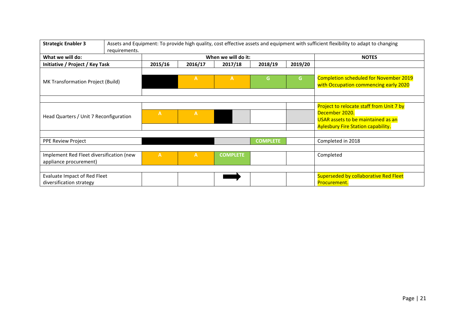| <b>Strategic Enabler 3</b>                                         | requirements. |                |              |                     |                 |         | Assets and Equipment: To provide high quality, cost effective assets and equipment with sufficient flexibility to adapt to changing                  |
|--------------------------------------------------------------------|---------------|----------------|--------------|---------------------|-----------------|---------|------------------------------------------------------------------------------------------------------------------------------------------------------|
| What we will do:                                                   |               |                |              | When we will do it: | <b>NOTES</b>    |         |                                                                                                                                                      |
| Initiative / Project / Key Task                                    |               | 2015/16        | 2016/17      | 2017/18             | 2018/19         | 2019/20 |                                                                                                                                                      |
| MK Transformation Project (Build)                                  |               |                | $\mathsf{A}$ | $\mathbf{A}$        | G               | G       | <b>Completion scheduled for November 2019</b><br>with Occupation commencing early 2020                                                               |
|                                                                    |               |                |              |                     |                 |         |                                                                                                                                                      |
| Head Quarters / Unit 7 Reconfiguration                             |               | $\overline{A}$ | $\mathsf{A}$ |                     |                 |         | <b>Project to relocate staff from Unit 7 by</b><br>December 2020.<br>USAR assets to be maintained as an<br><b>Aylesbury Fire Station capability.</b> |
| <b>PPE Review Project</b>                                          |               |                |              |                     | <b>COMPLETE</b> |         | Completed in 2018                                                                                                                                    |
|                                                                    |               |                |              |                     |                 |         |                                                                                                                                                      |
| Implement Red Fleet diversification (new<br>appliance procurement) |               | $\mathbf{A}$   | $\mathbf{A}$ | <b>COMPLETE</b>     |                 |         | Completed                                                                                                                                            |
|                                                                    |               |                |              |                     |                 |         |                                                                                                                                                      |
| Evaluate Impact of Red Fleet<br>diversification strategy           |               |                |              |                     |                 |         | <b>Superseded by collaborative Red Fleet</b><br>Procurement.                                                                                         |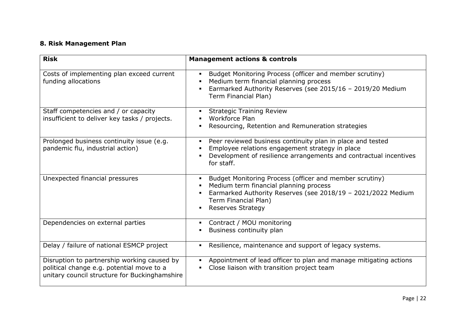# **8. Risk Management Plan**

| <b>Risk</b>                                                                                                                               | <b>Management actions &amp; controls</b>                                                                                                                                                                              |
|-------------------------------------------------------------------------------------------------------------------------------------------|-----------------------------------------------------------------------------------------------------------------------------------------------------------------------------------------------------------------------|
| Costs of implementing plan exceed current<br>funding allocations                                                                          | Budget Monitoring Process (officer and member scrutiny)<br>Medium term financial planning process<br>Earmarked Authority Reserves (see 2015/16 - 2019/20 Medium<br>Term Financial Plan)                               |
| Staff competencies and / or capacity<br>insufficient to deliver key tasks / projects.                                                     | <b>Strategic Training Review</b><br>Workforce Plan<br>Resourcing, Retention and Remuneration strategies                                                                                                               |
| Prolonged business continuity issue (e.g.<br>pandemic flu, industrial action)                                                             | Peer reviewed business continuity plan in place and tested<br>Employee relations engagement strategy in place<br>Development of resilience arrangements and contractual incentives<br>for staff.                      |
| Unexpected financial pressures                                                                                                            | Budget Monitoring Process (officer and member scrutiny)<br>Medium term financial planning process<br>Earmarked Authority Reserves (see 2018/19 - 2021/2022 Medium<br>Term Financial Plan)<br><b>Reserves Strategy</b> |
| Dependencies on external parties                                                                                                          | Contract / MOU monitoring<br>Business continuity plan                                                                                                                                                                 |
| Delay / failure of national ESMCP project                                                                                                 | Resilience, maintenance and support of legacy systems.                                                                                                                                                                |
| Disruption to partnership working caused by<br>political change e.g. potential move to a<br>unitary council structure for Buckinghamshire | Appointment of lead officer to plan and manage mitigating actions<br>Close liaison with transition project team                                                                                                       |